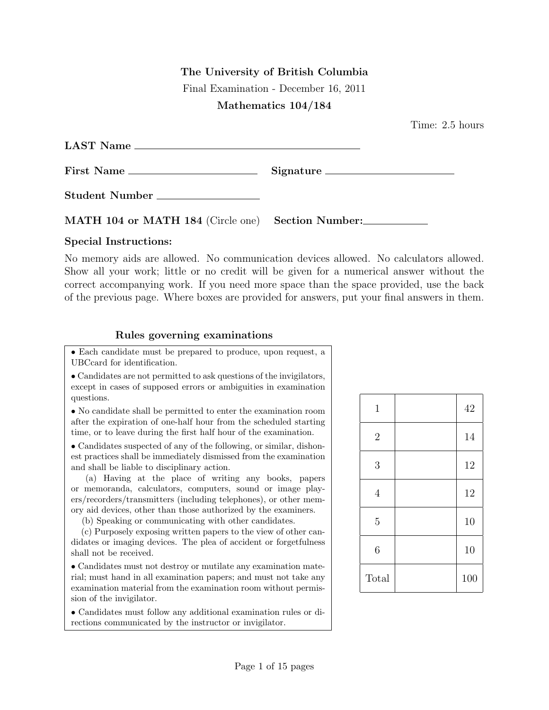## The University of British Columbia

Final Examination - December 16, 2011

## Mathematics 104/184

Time: 2.5 hours

| LAST Name                                         |  |
|---------------------------------------------------|--|
| First Name                                        |  |
| Student Number                                    |  |
| MATH 104 or MATH 184 (Circle one) Section Number: |  |

## Special Instructions:

No memory aids are allowed. No communication devices allowed. No calculators allowed. Show all your work; little or no credit will be given for a numerical answer without the correct accompanying work. If you need more space than the space provided, use the back of the previous page. Where boxes are provided for answers, put your final answers in them.

## Rules governing examinations

• Each candidate must be prepared to produce, upon request, a UBCcard for identification.

• Candidates are not permitted to ask questions of the invigilators, except in cases of supposed errors or ambiguities in examination questions.

• No candidate shall be permitted to enter the examination room after the expiration of one-half hour from the scheduled starting time, or to leave during the first half hour of the examination.

• Candidates suspected of any of the following, or similar, dishonest practices shall be immediately dismissed from the examination and shall be liable to disciplinary action.

(a) Having at the place of writing any books, papers or memoranda, calculators, computers, sound or image players/recorders/transmitters (including telephones), or other memory aid devices, other than those authorized by the examiners.

(b) Speaking or communicating with other candidates.

(c) Purposely exposing written papers to the view of other candidates or imaging devices. The plea of accident or forgetfulness shall not be received.

• Candidates must not destroy or mutilate any examination material; must hand in all examination papers; and must not take any examination material from the examination room without permission of the invigilator.

• Candidates must follow any additional examination rules or directions communicated by the instructor or invigilator.

| $\mathbf{1}$     | 42  |
|------------------|-----|
| $\sqrt{2}$       | 14  |
| $\mathfrak 3$    | 12  |
| $\overline{4}$   | 12  |
| $\overline{5}$   | 10  |
| $\boldsymbol{6}$ | 10  |
| Total            | 100 |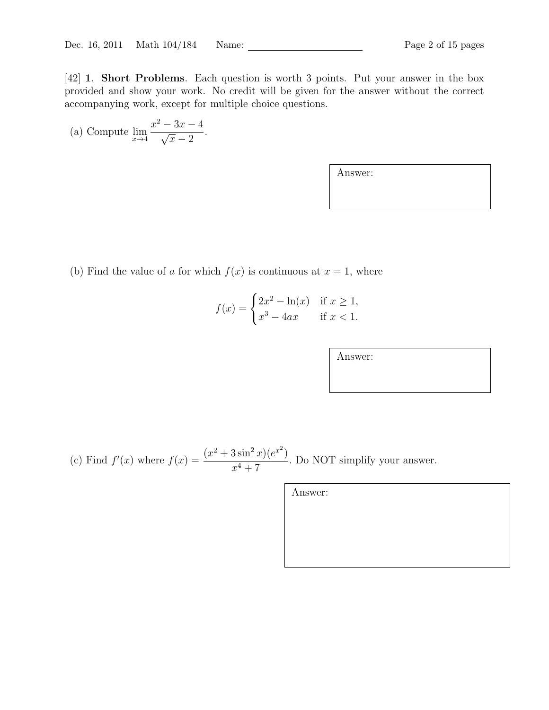[42] 1. Short Problems. Each question is worth 3 points. Put your answer in the box provided and show your work. No credit will be given for the answer without the correct accompanying work, except for multiple choice questions.

(a) Compute 
$$
\lim_{x \to 4} \frac{x^2 - 3x - 4}{\sqrt{x} - 2}
$$
.

Answer:

(b) Find the value of a for which  $f(x)$  is continuous at  $x = 1$ , where

$$
f(x) = \begin{cases} 2x^2 - \ln(x) & \text{if } x \ge 1, \\ x^3 - 4ax & \text{if } x < 1. \end{cases}
$$

Answer:

|  | $r^4+7$ | (c) Find $f'(x)$ where $f(x) = \frac{(x^2 + 3\sin^2 x)(e^{x^2})}{4\pi^2}$ . Do NOT simplify your answer. |
|--|---------|----------------------------------------------------------------------------------------------------------|
|--|---------|----------------------------------------------------------------------------------------------------------|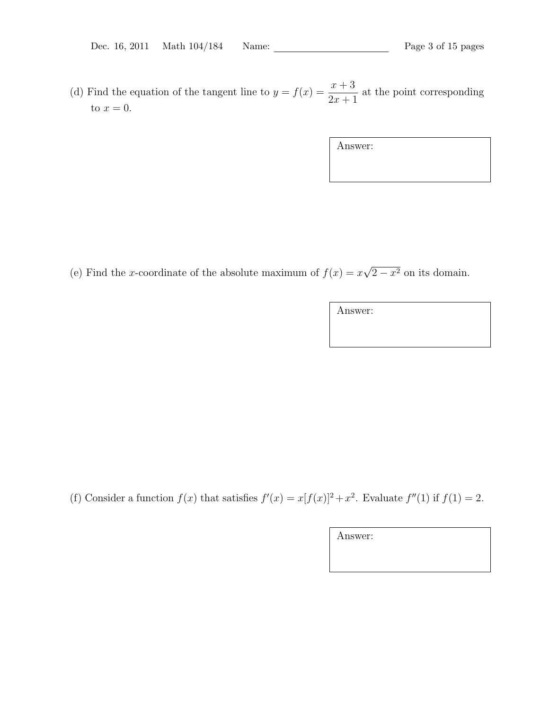(d) Find the equation of the tangent line to  $y = f(x) = \frac{x+3}{2}$  $2x + 1$ at the point corresponding to  $x=0$ .

| Answer: |  |  |  |
|---------|--|--|--|
|         |  |  |  |
|         |  |  |  |

(e) Find the x-coordinate of the absolute maximum of  $f(x) = x$ √  $2-x^2$  on its domain.

Answer:

(f) Consider a function  $f(x)$  that satisfies  $f'(x) = x[f(x)]^2 + x^2$ . Evaluate  $f''(1)$  if  $f(1) = 2$ .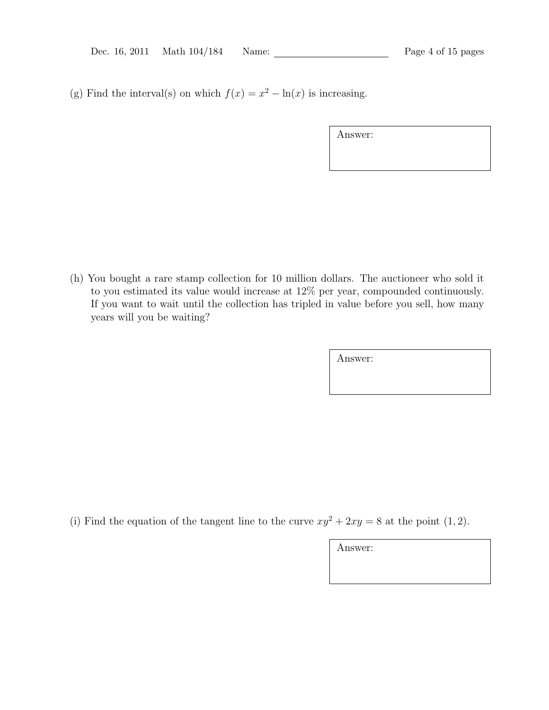(g) Find the interval(s) on which  $f(x) = x^2 - \ln(x)$  is increasing.

| Answer: |  |
|---------|--|
|---------|--|

(h) You bought a rare stamp collection for 10 million dollars. The auctioneer who sold it to you estimated its value would increase at 12% per year, compounded continuously. If you want to wait until the collection has tripled in value before you sell, how many years will you be waiting?

Answer:

(i) Find the equation of the tangent line to the curve  $xy^2 + 2xy = 8$  at the point (1, 2).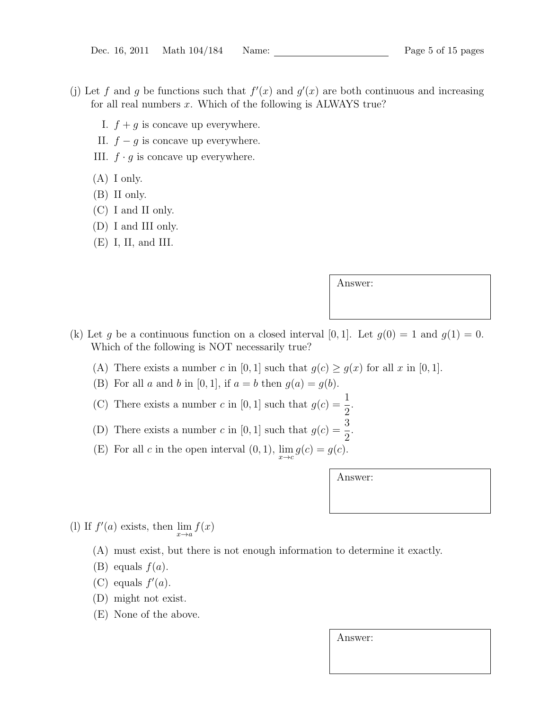- (j) Let f and g be functions such that  $f'(x)$  and  $g'(x)$  are both continuous and increasing for all real numbers  $x$ . Which of the following is ALWAYS true?
	- I.  $f + g$  is concave up everywhere.
	- II.  $f g$  is concave up everywhere.
	- III.  $f \cdot g$  is concave up everywhere.
	- (A) I only.
	- (B) II only.
	- (C) I and II only.
	- (D) I and III only.
	- (E) I, II, and III.

Answer:

- (k) Let g be a continuous function on a closed interval [0, 1]. Let  $g(0) = 1$  and  $g(1) = 0$ . Which of the following is NOT necessarily true?
	- (A) There exists a number c in [0, 1] such that  $g(c) \ge g(x)$  for all x in [0, 1].
	- (B) For all a and b in [0, 1], if  $a = b$  then  $g(a) = g(b)$ .
	- (C) There exists a number c in [0, 1] such that  $g(c) = \frac{1}{2}$ 2 .
	- (D) There exists a number c in [0, 1] such that  $g(c) = \frac{3}{5}$ 2
	- (E) For all c in the open interval  $(0, 1)$ ,  $\lim_{x \to c} g(c) = g(c)$ .

Answer:

.

- (l) If  $f'(a)$  exists, then  $\lim_{x\to a} f(x)$ 
	- (A) must exist, but there is not enough information to determine it exactly.
	- (B) equals  $f(a)$ .
	- (C) equals  $f'(a)$ .
	- (D) might not exist.
	- (E) None of the above.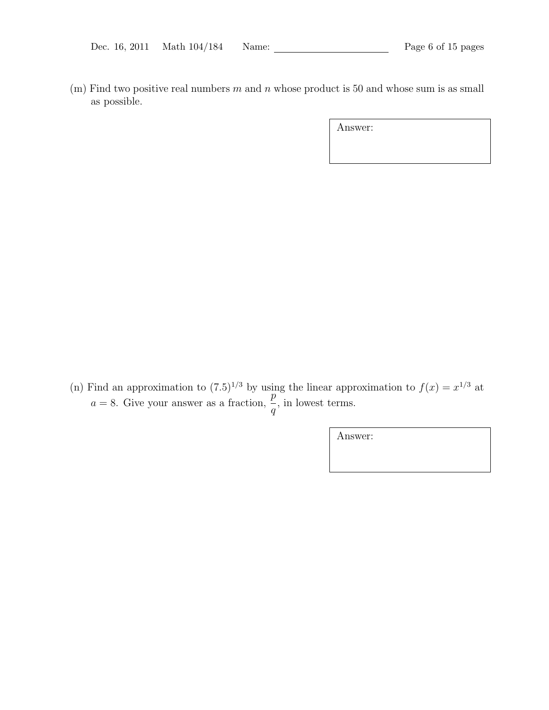(m) Find two positive real numbers  $m$  and  $n$  whose product is 50 and whose sum is as small as possible.

Answer:

(n) Find an approximation to  $(7.5)^{1/3}$  by using the linear approximation to  $f(x) = x^{1/3}$  at a = 8. Give your answer as a fraction,  $\frac{p}{q}$ q , in lowest terms.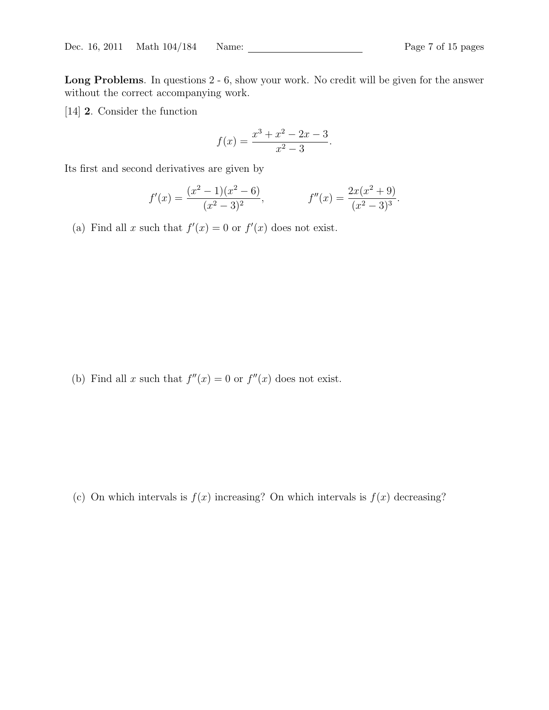Long Problems. In questions 2 - 6, show your work. No credit will be given for the answer without the correct accompanying work.

[14] 2. Consider the function

$$
f(x) = \frac{x^3 + x^2 - 2x - 3}{x^2 - 3}.
$$

Its first and second derivatives are given by

$$
f'(x) = \frac{(x^2 - 1)(x^2 - 6)}{(x^2 - 3)^2}, \qquad f''(x) = \frac{2x(x^2 + 9)}{(x^2 - 3)^3}.
$$

(a) Find all x such that  $f'(x) = 0$  or  $f'(x)$  does not exist.

(b) Find all x such that  $f''(x) = 0$  or  $f''(x)$  does not exist.

(c) On which intervals is  $f(x)$  increasing? On which intervals is  $f(x)$  decreasing?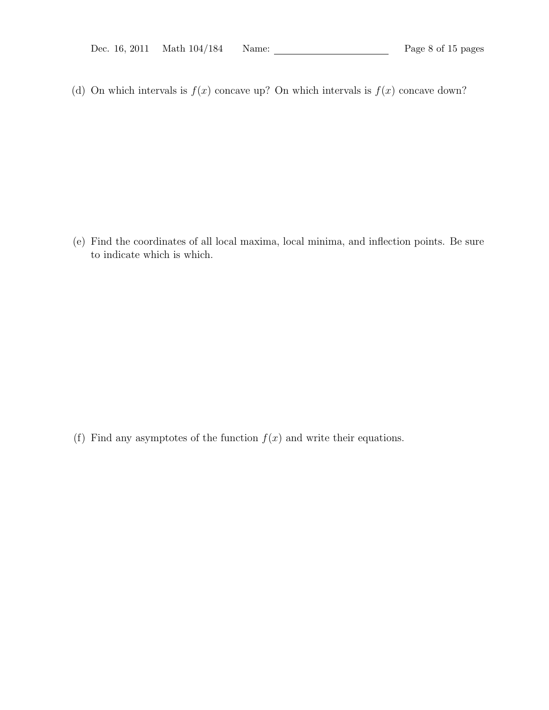(d) On which intervals is  $f(x)$  concave up? On which intervals is  $f(x)$  concave down?

(e) Find the coordinates of all local maxima, local minima, and inflection points. Be sure to indicate which is which.

(f) Find any asymptotes of the function  $f(x)$  and write their equations.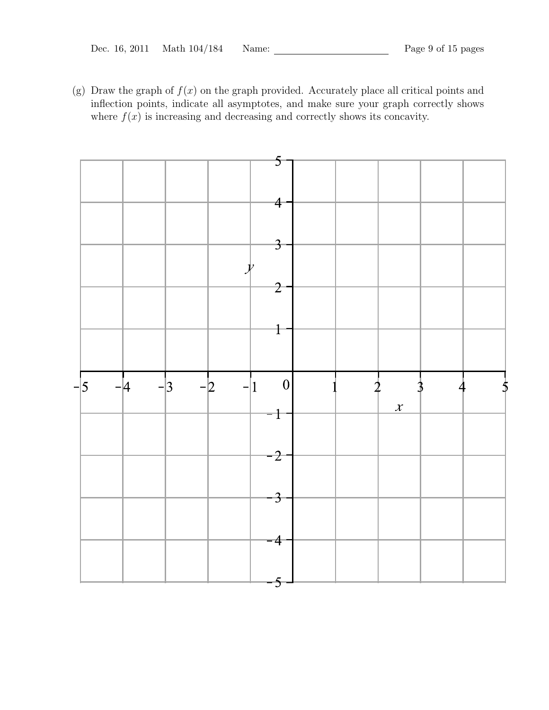(g) Draw the graph of  $f(x)$  on the graph provided. Accurately place all critical points and inflection points, indicate all asymptotes, and make sure your graph correctly shows where  $f(x)$  is increasing and decreasing and correctly shows its concavity.

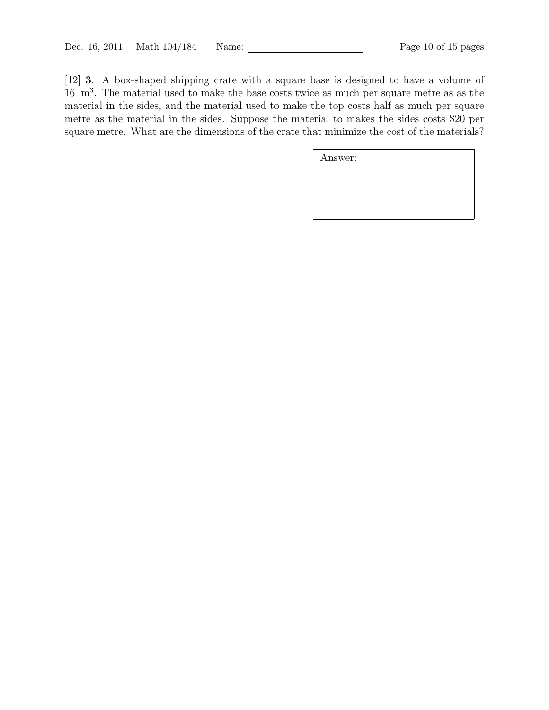[12] 3. A box-shaped shipping crate with a square base is designed to have a volume of 16 m<sup>3</sup> . The material used to make the base costs twice as much per square metre as as the material in the sides, and the material used to make the top costs half as much per square metre as the material in the sides. Suppose the material to makes the sides costs \$20 per square metre. What are the dimensions of the crate that minimize the cost of the materials?

| Answer: |  |  |
|---------|--|--|
|         |  |  |
|         |  |  |
|         |  |  |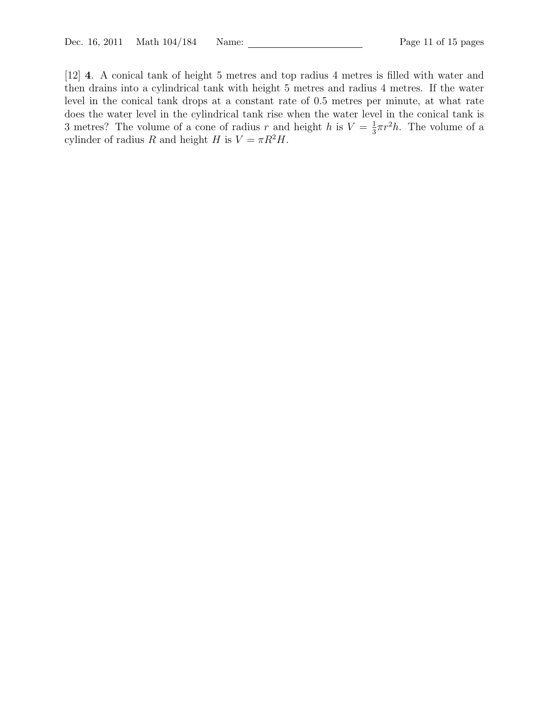[12] 4. A conical tank of height 5 metres and top radius 4 metres is filled with water and then drains into a cylindrical tank with height 5 metres and radius 4 metres. If the water level in the conical tank drops at a constant rate of 0.5 metres per minute, at what rate does the water level in the cylindrical tank rise when the water level in the conical tank is 3 metres? The volume of a cone of radius r and height h is  $V = \frac{1}{3}$  $\frac{1}{3}\pi r^2 h$ . The volume of a cylinder of radius R and height H is  $V = \pi R^2 H$ .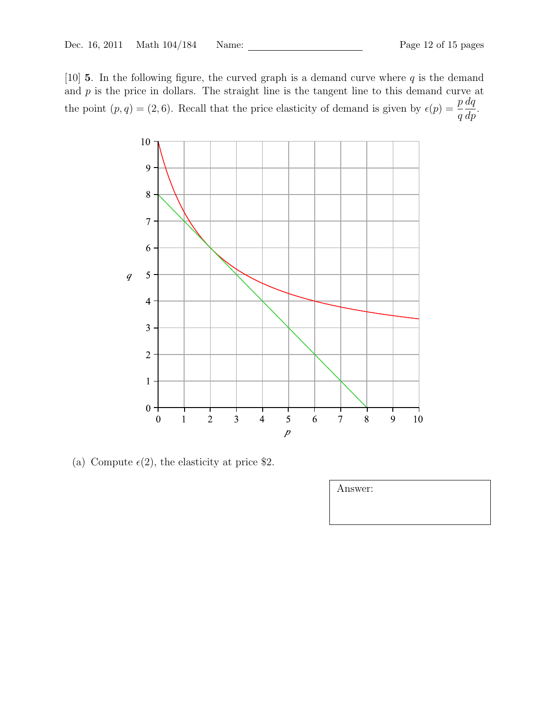[10] **5**. In the following figure, the curved graph is a demand curve where  $q$  is the demand and  $p$  is the price in dollars. The straight line is the tangent line to this demand curve at the point  $(p, q) = (2, 6)$ . Recall that the price elasticity of demand is given by  $\epsilon(p) = \frac{p}{p}$ q  $dq$  $rac{dq}{dp}$ .



(a) Compute  $\epsilon(2)$ , the elasticity at price \$2.

| Answer: |  |  |
|---------|--|--|
|         |  |  |
|         |  |  |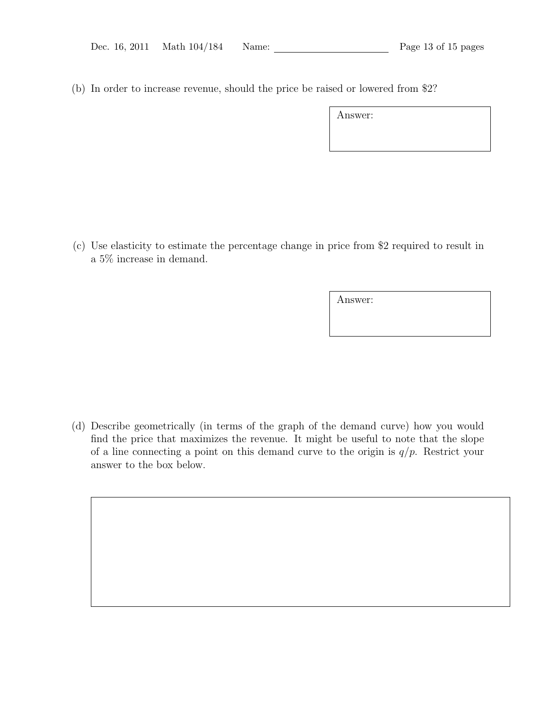(b) In order to increase revenue, should the price be raised or lowered from \$2?

Answer:

(c) Use elasticity to estimate the percentage change in price from \$2 required to result in a 5% increase in demand.

Answer:

(d) Describe geometrically (in terms of the graph of the demand curve) how you would find the price that maximizes the revenue. It might be useful to note that the slope of a line connecting a point on this demand curve to the origin is  $q/p$ . Restrict your answer to the box below.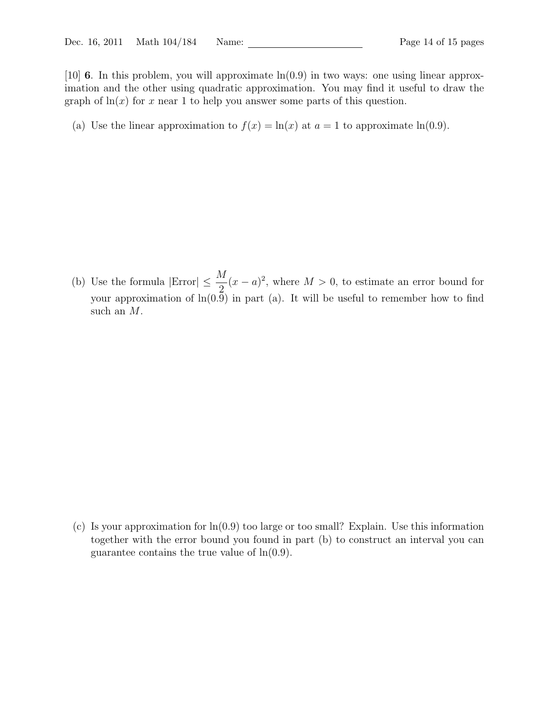[10] 6. In this problem, you will approximate  $ln(0.9)$  in two ways: one using linear approximation and the other using quadratic approximation. You may find it useful to draw the graph of  $\ln(x)$  for x near 1 to help you answer some parts of this question.

(a) Use the linear approximation to  $f(x) = \ln(x)$  at  $a = 1$  to approximate  $\ln(0.9)$ .

(b) Use the formula  $|\text{Error}| \leq \frac{M}{2}$ 2  $(x - a)^2$ , where  $M > 0$ , to estimate an error bound for your approximation of  $ln(0.9)$  in part (a). It will be useful to remember how to find such an M.

(c) Is your approximation for  $\ln(0.9)$  too large or too small? Explain. Use this information together with the error bound you found in part (b) to construct an interval you can guarantee contains the true value of  $ln(0.9)$ .